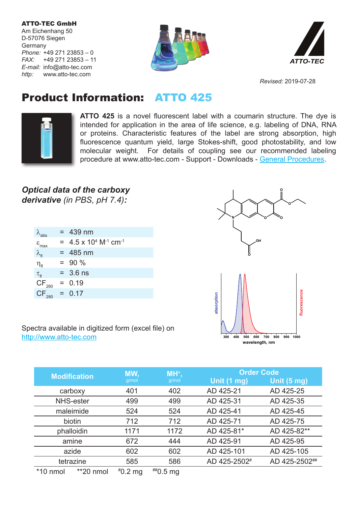ATTO-TEC GmbH Am Eichenhang 50 D-57076 Siegen **Germany** *Phone:* +49 271 23853 – 0 *FAX:* +49 271 23853 – 11 *E-mail:* info@atto-tec.com *http:* www.atto-tec.com





*Revised:* 2019-07-28

## Product Information: ATTO 425



**ATTO 425** is a novel fluorescent label with a coumarin structure. The dye is intended for application in the area of life science, e.g. labeling of DNA, RNA or proteins. Characteristic features of the label are strong absorption, high fluorescence quantum yield, large Stokes-shift, good photostability, and low molecular weight. For details of coupling see our recommended labeling procedure at www.atto-tec.com - Support - Downloads - General Procedures.

## *Optical data of the carboxy derivative (in PBS, pH 7.4):*

| $\lambda_{\sf abs}$          | $= 439$ nm                                             |
|------------------------------|--------------------------------------------------------|
| $\varepsilon$ <sub>max</sub> | $= 4.5 \times 10^{4}$ M <sup>-1</sup> cm <sup>-1</sup> |
| $\lambda_{\rm fl}$           | $= 485$ nm                                             |
| $\eta_{\rm fl}$              | $= 90 \%$                                              |
| $\tau_{\rm fl}$              | $= 3.6$ ns                                             |
| $CF_{260}$                   | $= 0.19$                                               |
| $CF_{280}$                   | $= 0.17$                                               |
|                              |                                                        |



Spectra available in digitized form (excel file) on http://www.atto-tec.com

|                     |           | MW,       | MH <sup>+</sup> , | <b>Order Code</b> |               |
|---------------------|-----------|-----------|-------------------|-------------------|---------------|
| <b>Modification</b> |           | g/mol     | g/mol             | Unit (1 mg)       | Unit (5 mg)   |
| carboxy             |           | 401       | 402               | AD 425-21         | AD 425-25     |
| <b>NHS-ester</b>    |           | 499       | 499               | AD 425-31         | AD 425-35     |
| maleimide           |           | 524       | 524               | AD 425-41         | AD 425-45     |
| biotin              |           | 712       | 712               | AD 425-71         | AD 425-75     |
| phalloidin          |           | 1171      | 1172              | AD 425-81*        | AD 425-82**   |
| amine               |           | 672       | 444               | AD 425-91         | AD 425-95     |
| azide               |           | 602       | 602               | AD 425-101        | AD 425-105    |
| tetrazine           |           | 585       | 586               | AD 425-2502#      | AD 425-2502## |
| $*10$ nmol          | **20 nmol | $*0.2$ mg | $^{***}$ 0.5 mg   |                   |               |